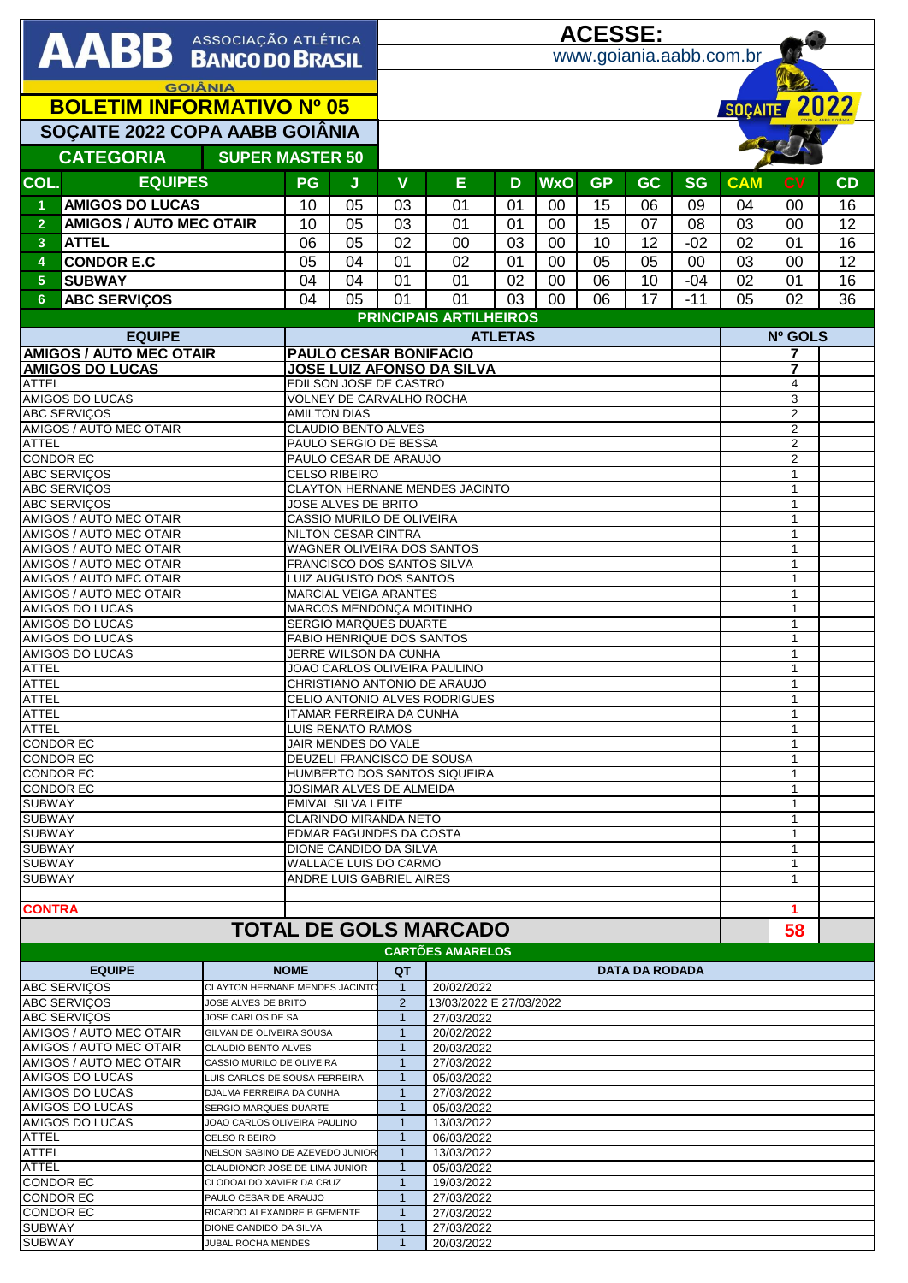| AABB ASSOCIAÇÃO ATLÉTICA                                                                                      |                                            |                                |                                                                  |                                                   | <u>ACESSE:</u>                                           |                                       |          |                |           |                       |             |            |                                  |           |  |
|---------------------------------------------------------------------------------------------------------------|--------------------------------------------|--------------------------------|------------------------------------------------------------------|---------------------------------------------------|----------------------------------------------------------|---------------------------------------|----------|----------------|-----------|-----------------------|-------------|------------|----------------------------------|-----------|--|
|                                                                                                               |                                            |                                | www.goiania.aabb.com.br                                          |                                                   |                                                          |                                       |          |                |           |                       |             |            |                                  |           |  |
| <b>GOIÂNIA</b>                                                                                                |                                            |                                |                                                                  |                                                   |                                                          |                                       |          |                |           |                       |             |            |                                  |           |  |
| <b>BOLETIM INFORMATIVO Nº 05</b>                                                                              |                                            |                                |                                                                  |                                                   |                                                          |                                       |          |                |           |                       |             |            | SOÇAITE 2022                     |           |  |
| SOÇAITE 2022 COPA AABB GOIÂNIA                                                                                |                                            |                                |                                                                  |                                                   |                                                          |                                       |          |                |           |                       |             |            |                                  |           |  |
| <b>CATEGORIA</b><br><b>SUPER MASTER 50</b>                                                                    |                                            |                                |                                                                  |                                                   |                                                          |                                       |          |                |           |                       |             |            |                                  |           |  |
| COL.                                                                                                          | <b>EQUIPES</b>                             |                                | PG                                                               | J                                                 | $\mathbf v$                                              | Ε                                     | D        | <b>WxO</b>     | <b>GP</b> | <b>GC</b>             | <b>SG</b>   | <b>CAM</b> | c <sub>V</sub>                   | <b>CD</b> |  |
| $\blacktriangleleft$                                                                                          | <b>AMIGOS DO LUCAS</b>                     |                                | 10                                                               | 05                                                | 03                                                       | 01                                    | 01       | $00\,$         | 15        | 06                    | 09          | 04         | 00                               | 16        |  |
| $\overline{2}$                                                                                                | <b>AMIGOS / AUTO MEC OTAIR</b>             |                                | 10                                                               | 05                                                | 03                                                       | 01                                    | 01       | 00             | 15        | 07                    | 08          | 03         | 00                               | 12        |  |
| 3                                                                                                             | <b>ATTEL</b>                               |                                | 06                                                               | 05                                                | 02                                                       | 00                                    | 03       | 00             | 10        | 12                    | $-02$       | 02         | 01                               | 16        |  |
| 4<br>5 <sup>5</sup>                                                                                           | <b>CONDOR E.C</b><br><b>SUBWAY</b>         |                                | 05<br>04                                                         | 04<br>04                                          | 01<br>01                                                 | 02<br>01                              | 01<br>02 | 00<br>00       | 05<br>06  | 05<br>10              | 00<br>$-04$ | 03<br>02   | 00<br>01                         | 12<br>16  |  |
| 6                                                                                                             | <b>ABC SERVIÇOS</b>                        |                                | 04                                                               | 05                                                | 01                                                       | 01                                    | 03       | 0 <sup>0</sup> | 06        | 17                    | $-11$       | 05         | 02                               | 36        |  |
|                                                                                                               |                                            |                                | <b>PRINCIPAIS ARTILHEIROS</b>                                    |                                                   |                                                          |                                       |          |                |           |                       |             |            |                                  |           |  |
| <b>EQUIPE</b>                                                                                                 |                                            |                                |                                                                  | <b>ATLETAS</b>                                    |                                                          |                                       |          |                |           |                       | Nº GOLS     |            |                                  |           |  |
| <b>AMIGOS / AUTO MEC OTAIR</b><br><b>AMIGOS DO LUCAS</b>                                                      |                                            |                                | <b>PAULO CESAR BONIFACIO</b><br><b>JOSE LUIZ AFONSO DA SILVA</b> |                                                   |                                                          |                                       |          |                |           |                       |             |            | 7<br>7                           |           |  |
| ATTEL                                                                                                         |                                            |                                | EDILSON JOSE DE CASTRO                                           |                                                   |                                                          |                                       |          |                |           |                       |             |            | 4                                |           |  |
|                                                                                                               | <b>AMIGOS DO LUCAS</b>                     |                                |                                                                  |                                                   | VOLNEY DE CARVALHO ROCHA                                 |                                       |          |                |           |                       |             |            | 3<br>$\overline{2}$              |           |  |
| <b>ABC SERVIÇOS</b><br>AMIGOS / AUTO MEC OTAIR                                                                |                                            |                                |                                                                  | <b>AMILTON DIAS</b><br><b>CLAUDIO BENTO ALVES</b> |                                                          |                                       |          |                |           |                       |             |            |                                  |           |  |
| <b>ATTEL</b><br><b>CONDOR EC</b>                                                                              |                                            |                                |                                                                  |                                                   | PAULO SERGIO DE BESSA<br>PAULO CESAR DE ARAUJO           |                                       |          |                |           |                       |             |            | $\overline{2}$<br>$\overline{2}$ |           |  |
|                                                                                                               | <b>ABC SERVIÇOS</b>                        |                                |                                                                  | <b>CELSO RIBEIRO</b>                              |                                                          |                                       |          |                |           |                       |             |            | $\mathbf{1}$                     |           |  |
|                                                                                                               | <b>ABC SERVIÇOS</b><br><b>ABC SERVIÇOS</b> |                                |                                                                  | CLAYTON HERNANE MENDES JACINTO                    |                                                          |                                       |          |                |           |                       |             |            |                                  |           |  |
|                                                                                                               | AMIGOS / AUTO MEC OTAIR                    |                                |                                                                  | JOSE ALVES DE BRITO<br>CASSIO MURILO DE OLIVEIRA  |                                                          |                                       |          |                |           |                       |             |            |                                  |           |  |
| AMIGOS / AUTO MEC OTAIR                                                                                       |                                            |                                | NILTON CESAR CINTRA                                              |                                                   |                                                          |                                       |          |                |           |                       |             |            | $\mathbf{1}$<br>$\mathbf{1}$     |           |  |
| AMIGOS / AUTO MEC OTAIR<br>AMIGOS / AUTO MEC OTAIR                                                            |                                            |                                | WAGNER OLIVEIRA DOS SANTOS<br>FRANCISCO DOS SANTOS SILVA         |                                                   |                                                          |                                       |          |                |           |                       |             |            | $\mathbf{1}$                     |           |  |
|                                                                                                               | AMIGOS / AUTO MEC OTAIR                    |                                | <b>LUIZ AUGUSTO DOS SANTOS</b>                                   |                                                   |                                                          |                                       |          |                |           |                       |             |            | $\mathbf{1}$<br>$\mathbf 1$      |           |  |
| AMIGOS / AUTO MEC OTAIR<br><b>AMIGOS DO LUCAS</b>                                                             |                                            |                                | MARCIAL VEIGA ARANTES<br>MARCOS MENDONÇA MOITINHO                |                                                   |                                                          |                                       |          |                |           |                       |             |            | $\mathbf{1}$                     |           |  |
| AMIGOS DO LUCAS                                                                                               |                                            |                                | <b>SERGIO MARQUES DUARTE</b><br>$\mathbf{1}$<br>1                |                                                   |                                                          |                                       |          |                |           |                       |             |            |                                  |           |  |
| AMIGOS DO LUCAS<br><b>AMIGOS DO LUCAS</b>                                                                     |                                            |                                | <b>FABIO HENRIQUE DOS SANTOS</b><br>JERRE WILSON DA CUNHA        |                                                   |                                                          |                                       |          |                |           |                       |             |            | $\mathbf{1}$                     |           |  |
| <b>ATTEL</b>                                                                                                  |                                            |                                | JOAO CARLOS OLIVEIRA PAULINO<br>CHRISTIANO ANTONIO DE ARAUJO     |                                                   |                                                          |                                       |          |                |           |                       |             |            | $\mathbf{1}$<br>$\mathbf{1}$     |           |  |
| <b>ATTEL</b><br><b>ATTEL</b>                                                                                  |                                            |                                | CELIO ANTONIO ALVES RODRIGUES                                    |                                                   |                                                          |                                       |          |                |           |                       |             |            | $\mathbf{1}$                     |           |  |
| <b>ATTEL</b>                                                                                                  |                                            |                                |                                                                  | ITAMAR FERREIRA DA CUNHA                          |                                                          | 1<br>1                                |          |                |           |                       |             |            |                                  |           |  |
| <b>ATTEL</b><br><b>CONDOR EC</b>                                                                              |                                            |                                | LUIS RENATO RAMOS<br>JAIR MENDES DO VALE                         |                                                   |                                                          |                                       |          |                |           |                       |             |            | 1                                |           |  |
| <b>CONDOR EC</b>                                                                                              |                                            |                                | DEUZELI FRANCISCO DE SOUSA                                       |                                                   |                                                          |                                       |          |                |           |                       |             |            | 1<br>$\mathbf{1}$                |           |  |
| <b>CONDOR EC</b><br><b>CONDOR EC</b>                                                                          |                                            |                                | HUMBERTO DOS SANTOS SIQUEIRA<br>JOSIMAR ALVES DE ALMEIDA         |                                                   |                                                          |                                       |          |                |           |                       |             |            | 1                                |           |  |
| <b>SUBWAY</b><br><b>SUBWAY</b>                                                                                |                                            |                                | EMIVAL SILVA LEITE<br>CLARINDO MIRANDA NETO                      |                                                   |                                                          |                                       |          |                |           |                       |             |            | 1<br>$\mathbf{1}$                |           |  |
| <b>SUBWAY</b>                                                                                                 |                                            |                                | EDMAR FAGUNDES DA COSTA                                          |                                                   |                                                          |                                       |          |                |           |                       |             |            | $\mathbf{1}$                     |           |  |
| <b>SUBWAY</b>                                                                                                 |                                            |                                | DIONE CANDIDO DA SILVA                                           |                                                   |                                                          |                                       |          |                |           |                       |             |            | 1<br>$\mathbf{1}$                |           |  |
| <b>SUBWAY</b><br><b>SUBWAY</b>                                                                                |                                            |                                | WALLACE LUIS DO CARMO<br>ANDRE LUIS GABRIEL AIRES                |                                                   |                                                          |                                       |          |                |           |                       |             |            | 1                                |           |  |
|                                                                                                               |                                            |                                |                                                                  |                                                   |                                                          |                                       |          |                |           |                       |             |            | 1                                |           |  |
| <b>CONTRA</b><br><b>TOTAL DE GOLS MARCADO</b>                                                                 |                                            |                                |                                                                  |                                                   |                                                          |                                       |          |                |           |                       |             | 58         |                                  |           |  |
|                                                                                                               |                                            |                                |                                                                  |                                                   |                                                          | <b>CARTÕES AMARELOS</b>               |          |                |           |                       |             |            |                                  |           |  |
|                                                                                                               | <b>EQUIPE</b>                              |                                | <b>NOME</b>                                                      |                                                   | QT                                                       |                                       |          |                |           | <b>DATA DA RODADA</b> |             |            |                                  |           |  |
|                                                                                                               | <b>ABC SERVICOS</b>                        | CLAYTON HERNANE MENDES JACINTO |                                                                  |                                                   | $\mathbf{1}$                                             | 20/02/2022                            |          |                |           |                       |             |            |                                  |           |  |
| <b>ABC SERVICOS</b><br>JOSE ALVES DE BRITO<br><b>ABC SERVIÇOS</b><br>JOSE CARLOS DE SA                        |                                            |                                |                                                                  |                                                   | $\overline{2}$<br>$\mathbf{1}$                           | 13/03/2022 E 27/03/2022<br>27/03/2022 |          |                |           |                       |             |            |                                  |           |  |
| AMIGOS / AUTO MEC OTAIR<br>GILVAN DE OLIVEIRA SOUSA                                                           |                                            |                                |                                                                  |                                                   | 1                                                        | 20/02/2022                            |          |                |           |                       |             |            |                                  |           |  |
| <b>AMIGOS / AUTO MEC OTAIR</b><br>CLAUDIO BENTO ALVES<br>AMIGOS / AUTO MEC OTAIR<br>CASSIO MURILO DE OLIVEIRA |                                            |                                |                                                                  | $\mathbf{1}$<br>20/03/2022<br>27/03/2022<br>1     |                                                          |                                       |          |                |           |                       |             |            |                                  |           |  |
| AMIGOS DO LUCAS<br>LUIS CARLOS DE SOUSA FERREIRA                                                              |                                            |                                |                                                                  |                                                   | 05/03/2022<br>1                                          |                                       |          |                |           |                       |             |            |                                  |           |  |
| AMIGOS DO LUCAS<br>DJALMA FERREIRA DA CUNHA<br>AMIGOS DO LUCAS<br>SERGIO MARQUES DUARTE                       |                                            |                                |                                                                  |                                                   | $\mathbf{1}$<br>27/03/2022<br>$\mathbf{1}$<br>05/03/2022 |                                       |          |                |           |                       |             |            |                                  |           |  |
| AMIGOS DO LUCAS<br>JOAO CARLOS OLIVEIRA PAULINO                                                               |                                            |                                |                                                                  |                                                   | 13/03/2022<br>1                                          |                                       |          |                |           |                       |             |            |                                  |           |  |
| <b>ATTEL</b><br><b>CELSO RIBEIRO</b><br><b>ATTEL</b><br>NELSON SABINO DE AZEVEDO JUNIOR                       |                                            |                                |                                                                  |                                                   | $\mathbf{1}$<br>06/03/2022<br>-1                         |                                       |          |                |           |                       |             |            |                                  |           |  |
| <b>ATTEL</b><br>CLAUDIONOR JOSE DE LIMA JUNIOR                                                                |                                            |                                |                                                                  |                                                   | 13/03/2022<br>$\mathbf{1}$<br>05/03/2022                 |                                       |          |                |           |                       |             |            |                                  |           |  |
| <b>CONDOR EC</b><br>CLODOALDO XAVIER DA CRUZ<br><b>CONDOR EC</b><br>PAULO CESAR DE ARAUJO                     |                                            |                                |                                                                  |                                                   | 19/03/2022<br>$\mathbf{1}$<br>27/03/2022<br>1            |                                       |          |                |           |                       |             |            |                                  |           |  |
| <b>CONDOR EC</b><br>RICARDO ALEXANDRE B GEMENTE                                                               |                                            |                                |                                                                  |                                                   | 27/03/2022<br>$\mathbf{1}$                               |                                       |          |                |           |                       |             |            |                                  |           |  |
| <b>SUBWAY</b><br>DIONE CANDIDO DA SILVA<br><b>SUBWAY</b><br><b>JUBAL ROCHA MENDES</b>                         |                                            |                                |                                                                  |                                                   | 1<br>27/03/2022<br>20/03/2022<br>1                       |                                       |          |                |           |                       |             |            |                                  |           |  |
|                                                                                                               |                                            |                                |                                                                  |                                                   |                                                          |                                       |          |                |           |                       |             |            |                                  |           |  |

 $\overline{\mathbf{I}}$